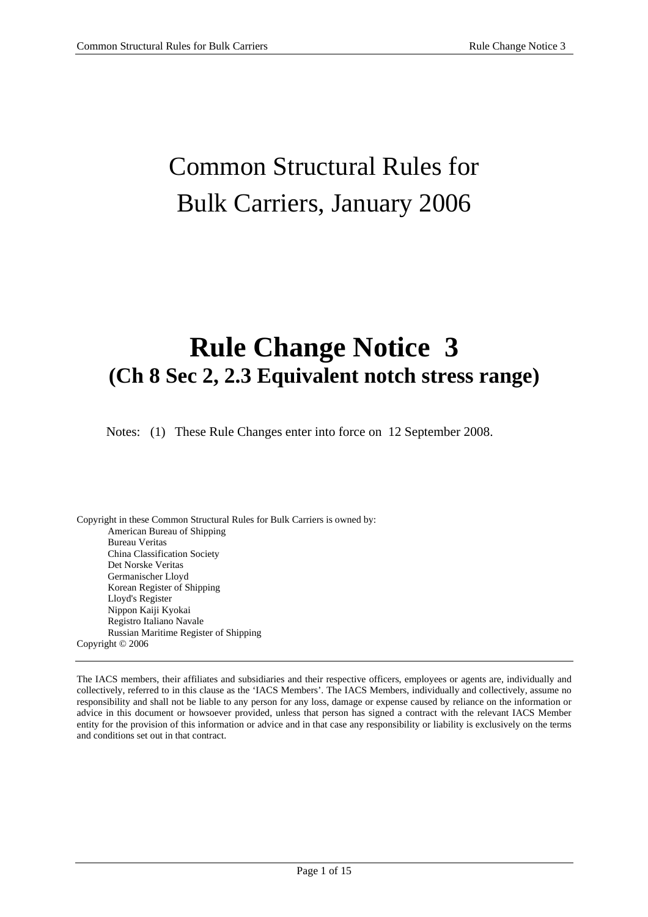## Common Structural Rules for Bulk Carriers, January 2006

## **Rule Change Notice 3 (Ch 8 Sec 2, 2.3 Equivalent notch stress range)**

Notes: (1) These Rule Changes enter into force on 12 September 2008.

Copyright in these Common Structural Rules for Bulk Carriers is owned by: American Bureau of Shipping Bureau Veritas China Classification Society Det Norske Veritas Germanischer Lloyd Korean Register of Shipping Lloyd's Register Nippon Kaiji Kyokai Registro Italiano Navale Russian Maritime Register of Shipping Copyright © 2006

The IACS members, their affiliates and subsidiaries and their respective officers, employees or agents are, individually and collectively, referred to in this clause as the 'IACS Members'. The IACS Members, individually and collectively, assume no responsibility and shall not be liable to any person for any loss, damage or expense caused by reliance on the information or advice in this document or howsoever provided, unless that person has signed a contract with the relevant IACS Member entity for the provision of this information or advice and in that case any responsibility or liability is exclusively on the terms and conditions set out in that contract.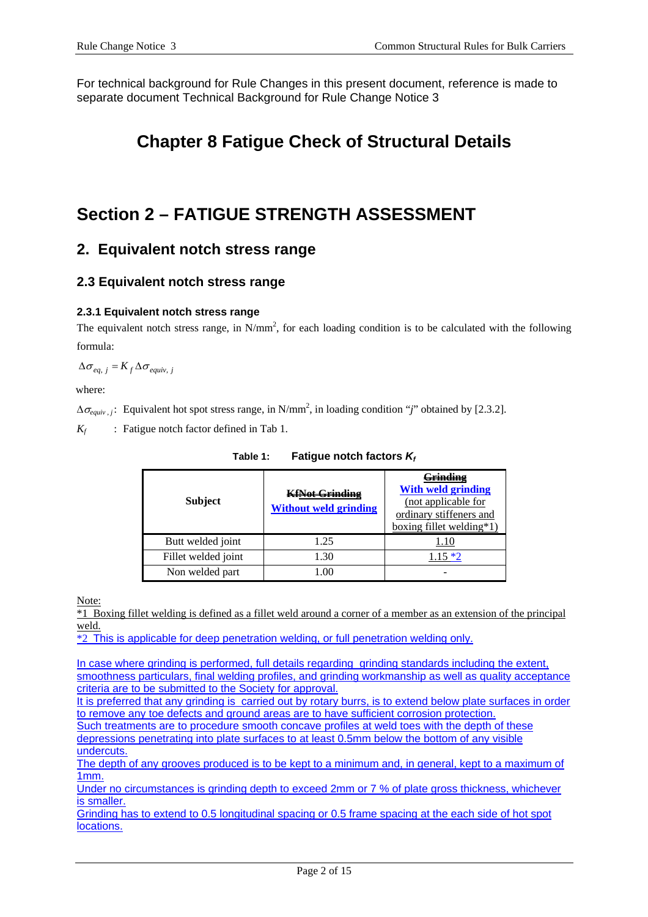For technical background for Rule Changes in this present document, reference is made to separate document Technical Background for Rule Change Notice 3

## **Chapter 8 Fatigue Check of Structural Details**

## **Section 2 – FATIGUE STRENGTH ASSESSMENT**

## **2. Equivalent notch stress range**

### **2.3 Equivalent notch stress range**

#### **2.3.1 Equivalent notch stress range**

The equivalent notch stress range, in  $N/mm^2$ , for each loading condition is to be calculated with the following formula:

 $\Delta \sigma_{eq, i} = K_f \Delta \sigma_{equiv}$ , *j* 

where:

 $\Delta\sigma_{equiv}$ , *j*: Equivalent hot spot stress range, in N/mm<sup>2</sup>, in loading condition "*j*" obtained by [2.3.2].

*K<sub>f</sub>* : Fatigue notch factor defined in Tab 1.

| <b>Subject</b>      | <b>KfNat Crinding</b><br><b>Without weld grinding</b> | $^{\backprime}$ rindino $^{\backprime}$<br><b>With weld grinding</b><br>(not applicable for<br>ordinary stiffeners and<br><u>boxing fillet welding*1</u> ) |
|---------------------|-------------------------------------------------------|------------------------------------------------------------------------------------------------------------------------------------------------------------|
| Butt welded joint   | 1.25                                                  |                                                                                                                                                            |
| Fillet welded joint | 1.30                                                  | $1.15 *2$                                                                                                                                                  |
| Non welded part     | 00                                                    |                                                                                                                                                            |

Table 1: Fatigue notch factors  $K_f$ 

Note:

\*1 Boxing fillet welding is defined as a fillet weld around a corner of a member as an extension of the principal weld.

 $\overline{*2}$  This is applicable for deep penetration welding, or full penetration welding only.

In case where grinding is performed, full details regarding grinding standards including the extent, smoothness particulars, final welding profiles, and grinding workmanship as well as quality acceptance criteria are to be submitted to the Society for approval.

It is preferred that any grinding is carried out by rotary burrs, is to extend below plate surfaces in order to remove any toe defects and ground areas are to have sufficient corrosion protection.

Such treatments are to procedure smooth concave profiles at weld toes with the depth of these depressions penetrating into plate surfaces to at least 0.5mm below the bottom of any visible undercuts.

The depth of any grooves produced is to be kept to a minimum and, in general, kept to a maximum of 1mm.

Under no circumstances is grinding depth to exceed 2mm or 7 % of plate gross thickness, whichever is smaller.

Grinding has to extend to 0.5 longitudinal spacing or 0.5 frame spacing at the each side of hot spot locations.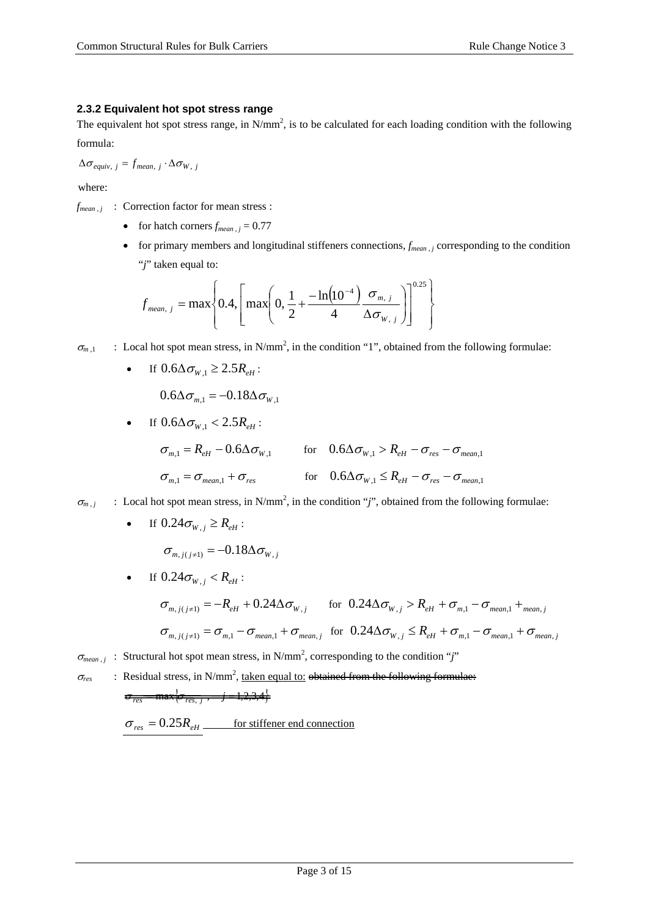#### **2.3.2 Equivalent hot spot stress range**

The equivalent hot spot stress range, in  $N/mm^2$ , is to be calculated for each loading condition with the following formula:

 $\Delta \sigma_{\text{equiv}, i} = f_{\text{mean}, i} \cdot \Delta \sigma_{W, i}$ 

where:

 $f_{mean, j}$  : Correction factor for mean stress :

- for hatch corners  $f_{mean, i} = 0.77$
- for primary members and longitudinal stiffeners connections,  $f_{mean,i}$  corresponding to the condition "*j*" taken equal to:

$$
f_{mean, j} = \max \left\{ 0.4, \left[ \max \left( 0, \frac{1}{2} + \frac{-\ln(10^{-4})}{4} \frac{\sigma_{m, j}}{\Delta \sigma_{W, j}} \right) \right]^{0.25} \right\}
$$

 $\sigma_{m,1}$  : Local hot spot mean stress, in N/mm<sup>2</sup>, in the condition "1", obtained from the following formulae:

If  $0.6\Delta\sigma_{w}$ ,  $\geq 2.5R_{\text{eff}}$ :

$$
0.6\Delta\sigma_{m,1} = -0.18\Delta\sigma_{W,1}
$$

If  $0.6 \Delta \sigma_{w}$ , <  $2.5 R_{e}$ :

$$
\sigma_{m,1} = R_{eH} - 0.6\Delta\sigma_{W,1} \qquad \text{for} \quad 0.6\Delta\sigma_{W,1} > R_{eH} - \sigma_{res} - \sigma_{mean,1}
$$
\n
$$
\sigma_{m,1} = \sigma_{mean,1} + \sigma_{res} \qquad \text{for} \quad 0.6\Delta\sigma_{W,1} \le R_{eH} - \sigma_{res} - \sigma_{mean,1}
$$

 $\sigma_{m,j}$  : Local hot spot mean stress, in N/mm<sup>2</sup>, in the condition "*j*", obtained from the following formulae:

• If  $0.24 \sigma_{W,j} \ge R_{eH}$ :

$$
\sigma_{m,j(j\neq 1)}=-0.18\Delta\sigma_{W,j}
$$

If  $0.24\sigma_{W}$ ,  $\lt R_{\rho H}$ :  $\sigma_{m, i(j \neq 1)} = -R_{eH} + 0.24 \Delta \sigma_{W, j}$  for  $0.24 \Delta \sigma_{W, j} > R_{eH} + \sigma_{m, 1} - \sigma_{mean, 1} +$ <sub>mean, *j*</sub>  $\sigma_{m,j(j\neq 1)} = \sigma_{m,1} - \sigma_{mean,1} + \sigma_{mean,j}$  for  $0.24 \Delta \sigma_{W,j} \leq R_{eH} + \sigma_{m,1} - \sigma_{mean,1} + \sigma_{mean,j}$ 

 $\sigma_{mean, j}$  : Structural hot spot mean stress, in N/mm<sup>2</sup>, corresponding to the condition "*j*"

$$
\sigma_{res}
$$
: Residual stress, in N/mm<sup>2</sup>, taken equal to: ~~obtained from the following formulae:~~  
 $\sigma_{res}$  max $\{\sigma_{res, j}, \sigma_{res, j}, \sigma_{res, j}, \sigma_{res, j}\}$ 

$$
\sigma_{res} = 0.25 R_{eH} \qquad \qquad \text{for stiffener end connection}
$$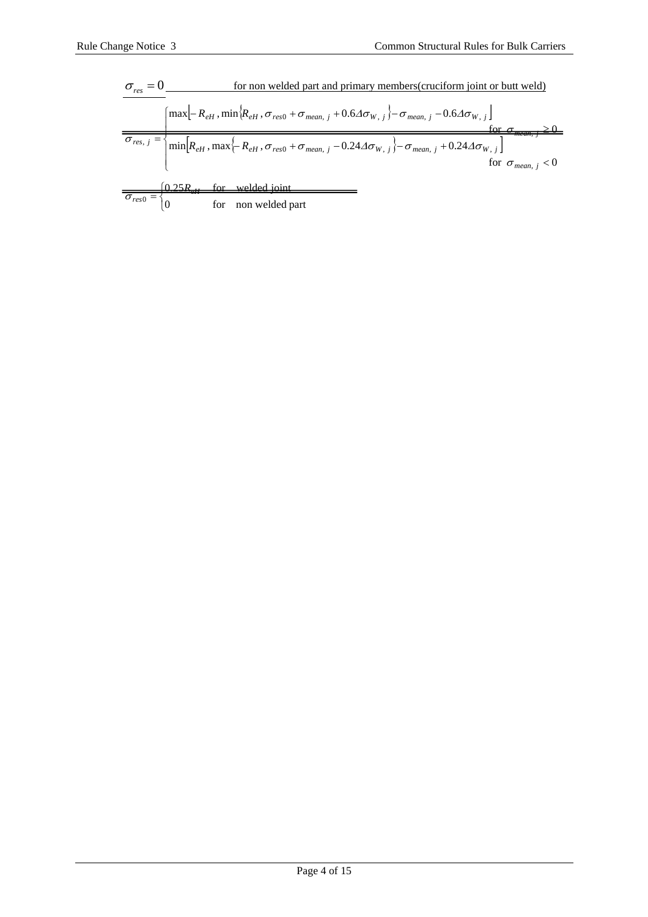$$
\sigma_{res} = 0
$$
 for non welled part and primary members (cruciform joint or butt well)  
\n
$$
\sigma_{res, j} = \begin{cases}\n\text{max}[-R_{eH}, \min\{R_{eH}, \sigma_{res0} + \sigma_{mean, j} + 0.6\Delta\sigma_{W, j}\} - \sigma_{mean, j} - 0.6\Delta\sigma_{W, j}]\n\end{cases}
$$
\nfor  $\sigma_{mean, j} \ge 0$   
\n
$$
\sigma_{res, j} = \begin{cases}\n\text{min}[R_{eH}, \max\{-R_{eH}, \sigma_{res0} + \sigma_{mean, j} - 0.24\Delta\sigma_{W, j}\} - \sigma_{mean, j} + 0.24\Delta\sigma_{W, j}]\n\end{cases}
$$
\nfor  $\sigma_{mean, j} < 0$   
\nfor  $\sigma_{mean, j} < 0$   
\nfor non welled part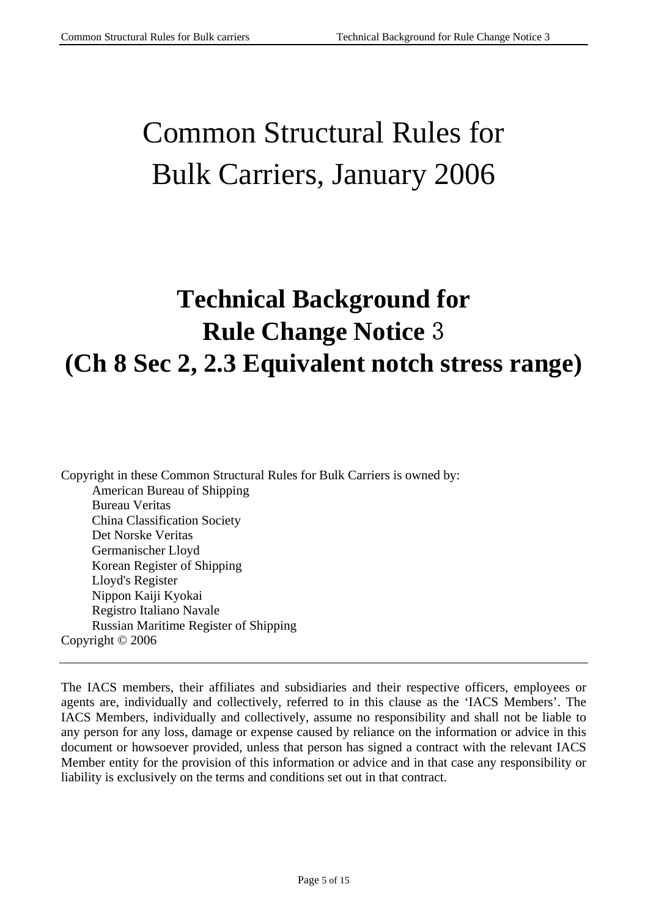# Common Structural Rules for Bulk Carriers, January 2006

## **Technical Background for Rule Change Notice** 3 **(Ch 8 Sec 2, 2.3 Equivalent notch stress range)**

Copyright in these Common Structural Rules for Bulk Carriers is owned by: American Bureau of Shipping Bureau Veritas China Classification Society Det Norske Veritas Germanischer Lloyd Korean Register of Shipping Lloyd's Register Nippon Kaiji Kyokai Registro Italiano Navale Russian Maritime Register of Shipping Copyright © 2006

The IACS members, their affiliates and subsidiaries and their respective officers, employees or agents are, individually and collectively, referred to in this clause as the 'IACS Members'. The IACS Members, individually and collectively, assume no responsibility and shall not be liable to any person for any loss, damage or expense caused by reliance on the information or advice in this document or howsoever provided, unless that person has signed a contract with the relevant IACS Member entity for the provision of this information or advice and in that case any responsibility or liability is exclusively on the terms and conditions set out in that contract.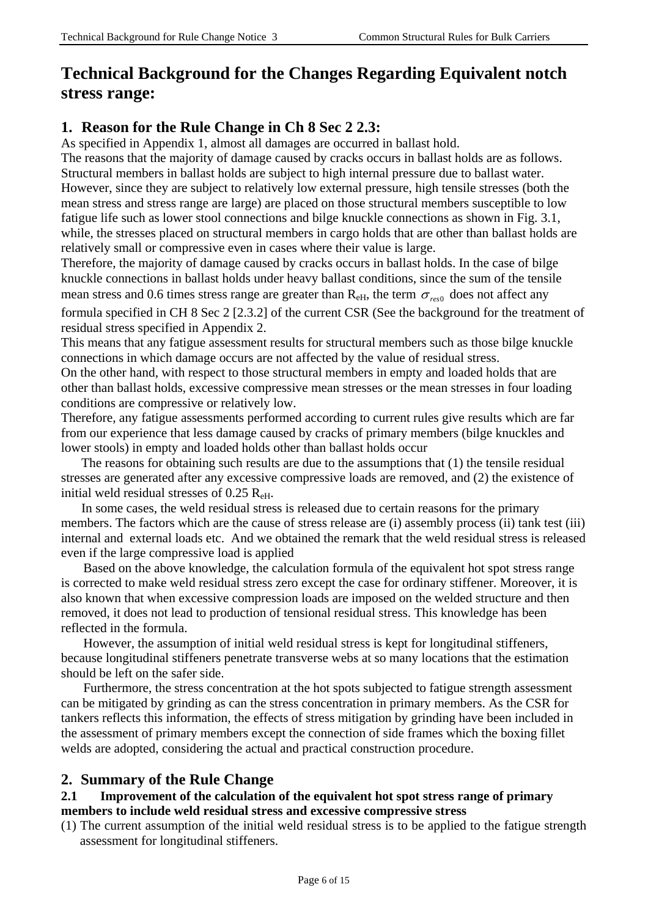## **Technical Background for the Changes Regarding Equivalent notch stress range:**

## **1. Reason for the Rule Change in Ch 8 Sec 2 2.3:**

As specified in Appendix 1, almost all damages are occurred in ballast hold.

The reasons that the majority of damage caused by cracks occurs in ballast holds are as follows. Structural members in ballast holds are subject to high internal pressure due to ballast water. However, since they are subject to relatively low external pressure, high tensile stresses (both the mean stress and stress range are large) are placed on those structural members susceptible to low fatigue life such as lower stool connections and bilge knuckle connections as shown in Fig. 3.1, while, the stresses placed on structural members in cargo holds that are other than ballast holds are relatively small or compressive even in cases where their value is large.

Therefore, the majority of damage caused by cracks occurs in ballast holds. In the case of bilge knuckle connections in ballast holds under heavy ballast conditions, since the sum of the tensile mean stress and 0.6 times stress range are greater than  $R_{\text{eH}}$ , the term  $\sigma_{\text{res0}}$  does not affect any

formula specified in CH 8 Sec 2 [2.3.2] of the current CSR (See the background for the treatment of residual stress specified in Appendix 2.

This means that any fatigue assessment results for structural members such as those bilge knuckle connections in which damage occurs are not affected by the value of residual stress.

On the other hand, with respect to those structural members in empty and loaded holds that are other than ballast holds, excessive compressive mean stresses or the mean stresses in four loading conditions are compressive or relatively low.

Therefore, any fatigue assessments performed according to current rules give results which are far from our experience that less damage caused by cracks of primary members (bilge knuckles and lower stools) in empty and loaded holds other than ballast holds occur

The reasons for obtaining such results are due to the assumptions that (1) the tensile residual stresses are generated after any excessive compressive loads are removed, and (2) the existence of initial weld residual stresses of  $0.25$   $R_{\text{eH}}$ .

In some cases, the weld residual stress is released due to certain reasons for the primary members. The factors which are the cause of stress release are (i) assembly process (ii) tank test (iii) internal and external loads etc. And we obtained the remark that the weld residual stress is released even if the large compressive load is applied

Based on the above knowledge, the calculation formula of the equivalent hot spot stress range is corrected to make weld residual stress zero except the case for ordinary stiffener. Moreover, it is also known that when excessive compression loads are imposed on the welded structure and then removed, it does not lead to production of tensional residual stress. This knowledge has been reflected in the formula.

However, the assumption of initial weld residual stress is kept for longitudinal stiffeners, because longitudinal stiffeners penetrate transverse webs at so many locations that the estimation should be left on the safer side.

Furthermore, the stress concentration at the hot spots subjected to fatigue strength assessment can be mitigated by grinding as can the stress concentration in primary members. As the CSR for tankers reflects this information, the effects of stress mitigation by grinding have been included in the assessment of primary members except the connection of side frames which the boxing fillet welds are adopted, considering the actual and practical construction procedure.

### **2. Summary of the Rule Change**

#### **2.1 Improvement of the calculation of the equivalent hot spot stress range of primary members to include weld residual stress and excessive compressive stress**

(1) The current assumption of the initial weld residual stress is to be applied to the fatigue strength assessment for longitudinal stiffeners.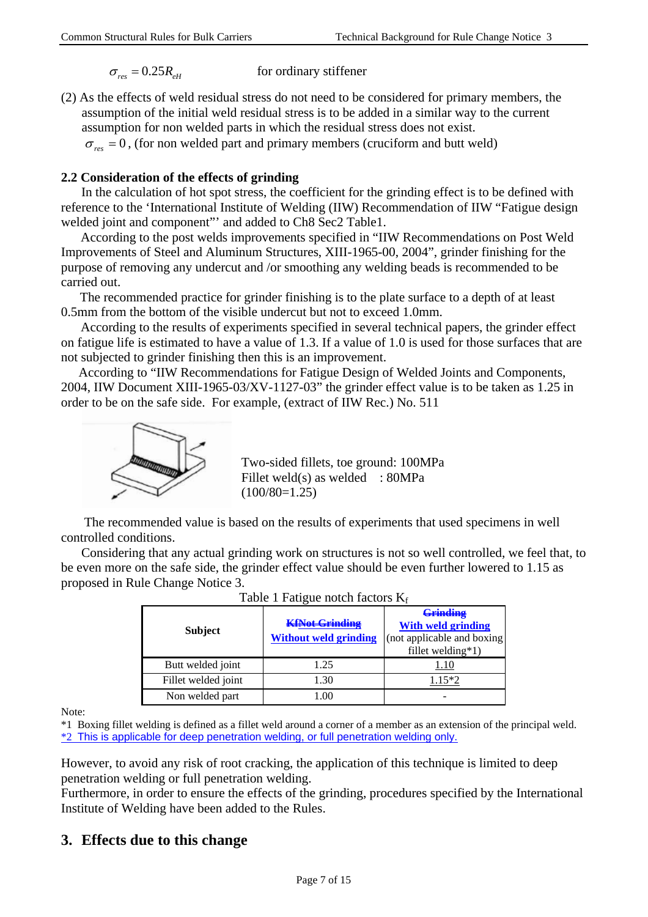$$
\sigma_{res} = 0.25 R_{\rm eff}
$$
 for ordinary stiffener

(2) As the effects of weld residual stress do not need to be considered for primary members, the assumption of the initial weld residual stress is to be added in a similar way to the current assumption for non welded parts in which the residual stress does not exist.

 $\sigma_{res} = 0$ , (for non welded part and primary members (cruciform and butt weld)

#### **2.2 Consideration of the effects of grinding**

In the calculation of hot spot stress, the coefficient for the grinding effect is to be defined with reference to the 'International Institute of Welding (IIW) Recommendation of IIW "Fatigue design welded joint and component"' and added to Ch8 Sec2 Table1.

According to the post welds improvements specified in "IIW Recommendations on Post Weld Improvements of Steel and Aluminum Structures, XIII-1965-00, 2004", grinder finishing for the purpose of removing any undercut and /or smoothing any welding beads is recommended to be carried out.

The recommended practice for grinder finishing is to the plate surface to a depth of at least 0.5mm from the bottom of the visible undercut but not to exceed 1.0mm.

According to the results of experiments specified in several technical papers, the grinder effect on fatigue life is estimated to have a value of 1.3. If a value of 1.0 is used for those surfaces that are not subjected to grinder finishing then this is an improvement.

According to "IIW Recommendations for Fatigue Design of Welded Joints and Components, 2004, IIW Document XIII-1965-03/XV-1127-03" the grinder effect value is to be taken as 1.25 in order to be on the safe side. For example, (extract of IIW Rec.) No. 511



Two-sided fillets, toe ground: 100MPa Fillet weld(s) as welded : 80MPa  $(100/80=1.25)$ 

The recommended value is based on the results of experiments that used specimens in well controlled conditions.

Considering that any actual grinding work on structures is not so well controlled, we feel that, to be even more on the safe side, the grinder effect value should be even further lowered to 1.15 as proposed in Rule Change Notice 3.

| Table 1 I aligue holen factors Is |                                                       |                                                                                                      |  |
|-----------------------------------|-------------------------------------------------------|------------------------------------------------------------------------------------------------------|--|
| <b>Subject</b>                    | <b>KfNot Grinding</b><br><b>Without weld grinding</b> | <del>Grinding</del><br><b>With weld grinding</b><br>(not applicable and boxing)<br>fillet welding*1) |  |
| Butt welded joint                 | 1.25                                                  | l.10                                                                                                 |  |
| Fillet welded joint               | 1.30                                                  | 1.15*2                                                                                               |  |
| Non welded part                   | -.00                                                  |                                                                                                      |  |

Table 1 Fatigue notch factors  $K<sub>c</sub>$ 

Note:

\*1 Boxing fillet welding is defined as a fillet weld around a corner of a member as an extension of the principal weld. \*2 This is applicable for deep penetration welding, or full penetration welding only.

However, to avoid any risk of root cracking, the application of this technique is limited to deep penetration welding or full penetration welding.

Furthermore, in order to ensure the effects of the grinding, procedures specified by the International Institute of Welding have been added to the Rules.

### **3. Effects due to this change**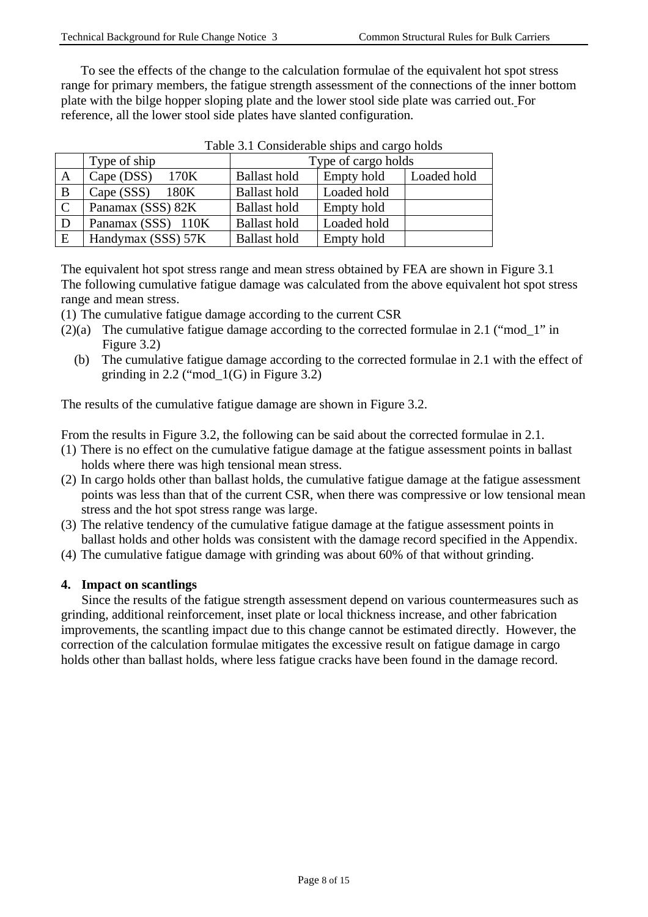To see the effects of the change to the calculation formulae of the equivalent hot spot stress range for primary members, the fatigue strength assessment of the connections of the inner bottom plate with the bilge hopper sloping plate and the lower stool side plate was carried out. For reference, all the lower stool side plates have slanted configuration.

|             | Type of ship       |                     | Type of cargo holds |             |
|-------------|--------------------|---------------------|---------------------|-------------|
| A           | Cape (DSS)<br>170K | <b>Ballast hold</b> | Empty hold          | Loaded hold |
| B           | Cape (SSS)<br>180K | <b>Ballast hold</b> | Loaded hold         |             |
| $\mathbf C$ | Panamax (SSS) 82K  | <b>Ballast hold</b> | Empty hold          |             |
| D           | Panamax (SSS) 110K | <b>Ballast hold</b> | Loaded hold         |             |
| E           | Handymax (SSS) 57K | <b>Ballast hold</b> | Empty hold          |             |

| Table 3.1 Considerable ships and cargo holds |  |  |  |
|----------------------------------------------|--|--|--|
|                                              |  |  |  |

The equivalent hot spot stress range and mean stress obtained by FEA are shown in Figure 3.1 The following cumulative fatigue damage was calculated from the above equivalent hot spot stress range and mean stress.

(1) The cumulative fatigue damage according to the current CSR

- (2)(a) The cumulative fatigue damage according to the corrected formulae in 2.1 ("mod\_1" in Figure 3.2)
	- (b) The cumulative fatigue damage according to the corrected formulae in 2.1 with the effect of grinding in  $2.2$  ("mod $_1(G)$  in Figure 3.2)

The results of the cumulative fatigue damage are shown in Figure 3.2.

From the results in Figure 3.2, the following can be said about the corrected formulae in 2.1.

- (1) There is no effect on the cumulative fatigue damage at the fatigue assessment points in ballast holds where there was high tensional mean stress.
- (2) In cargo holds other than ballast holds, the cumulative fatigue damage at the fatigue assessment points was less than that of the current CSR, when there was compressive or low tensional mean stress and the hot spot stress range was large.
- (3) The relative tendency of the cumulative fatigue damage at the fatigue assessment points in ballast holds and other holds was consistent with the damage record specified in the Appendix.
- (4) The cumulative fatigue damage with grinding was about 60% of that without grinding.

#### **4. Impact on scantlings**

Since the results of the fatigue strength assessment depend on various countermeasures such as grinding, additional reinforcement, inset plate or local thickness increase, and other fabrication improvements, the scantling impact due to this change cannot be estimated directly. However, the correction of the calculation formulae mitigates the excessive result on fatigue damage in cargo holds other than ballast holds, where less fatigue cracks have been found in the damage record.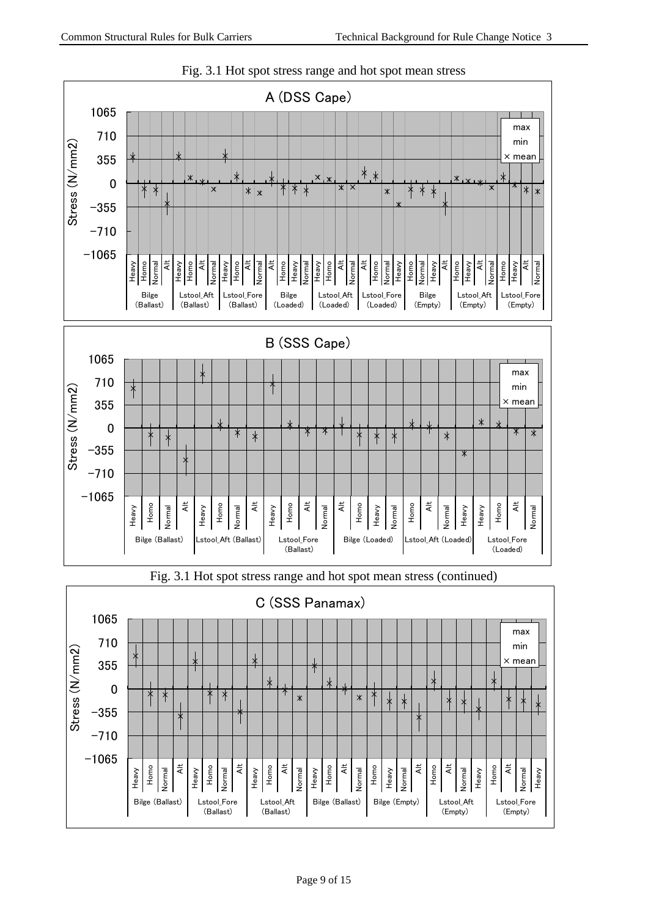

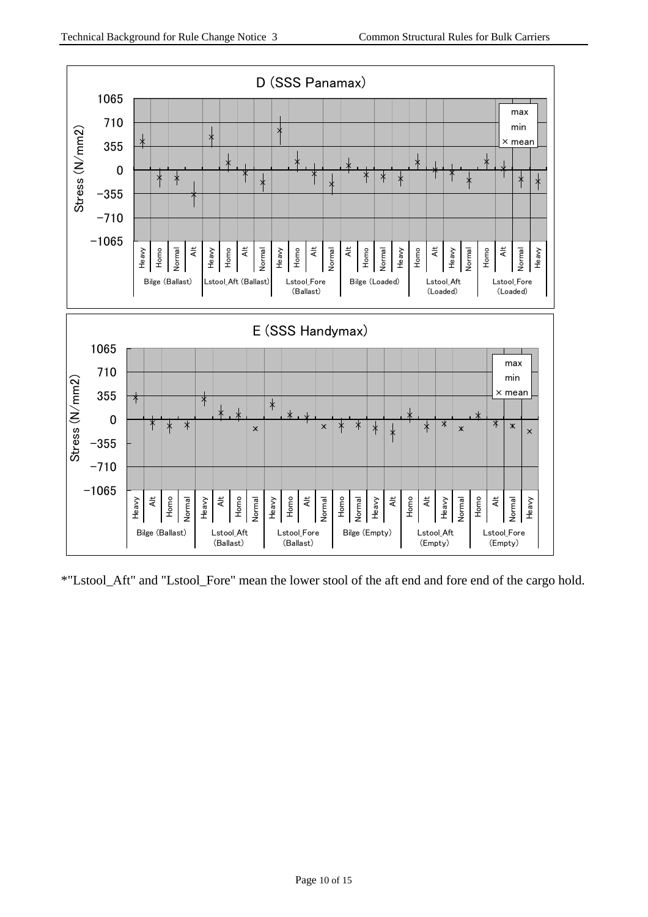

\*"Lstool\_Aft" and "Lstool\_Fore" mean the lower stool of the aft end and fore end of the cargo hold.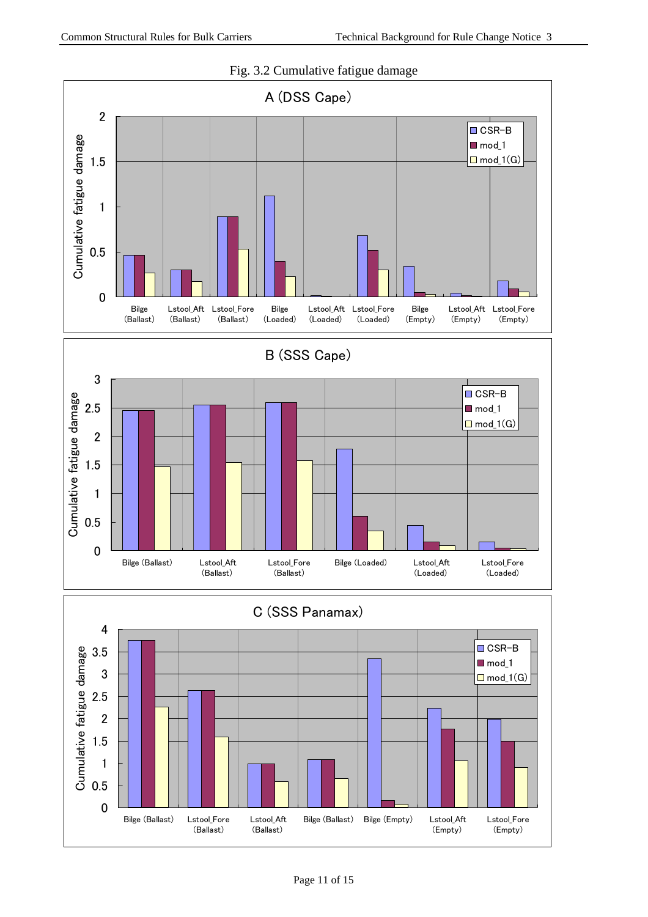

#### Fig. 3.2 Cumulative fatigue damage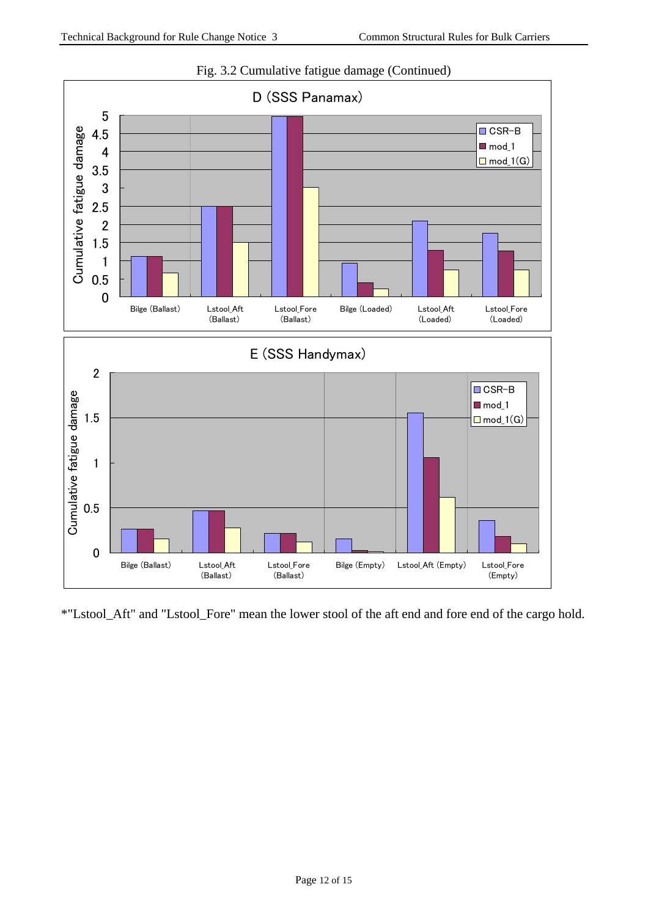

Fig. 3.2 Cumulative fatigue damage (Continued)

\*"Lstool\_Aft" and "Lstool\_Fore" mean the lower stool of the aft end and fore end of the cargo hold.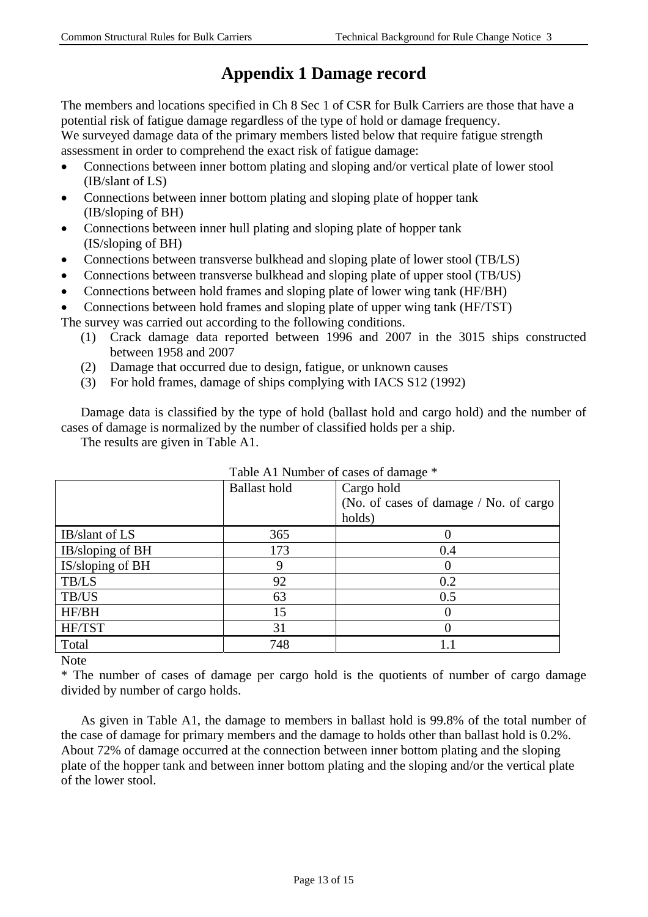## **Appendix 1 Damage record**

The members and locations specified in Ch 8 Sec 1 of CSR for Bulk Carriers are those that have a potential risk of fatigue damage regardless of the type of hold or damage frequency.

We surveyed damage data of the primary members listed below that require fatigue strength assessment in order to comprehend the exact risk of fatigue damage:

- Connections between inner bottom plating and sloping and/or vertical plate of lower stool (IB/slant of LS)
- Connections between inner bottom plating and sloping plate of hopper tank (IB/sloping of BH)
- Connections between inner hull plating and sloping plate of hopper tank (IS/sloping of BH)
- Connections between transverse bulkhead and sloping plate of lower stool (TB/LS)
- Connections between transverse bulkhead and sloping plate of upper stool (TB/US)
- Connections between hold frames and sloping plate of lower wing tank (HF/BH)
- Connections between hold frames and sloping plate of upper wing tank (HF/TST)

The survey was carried out according to the following conditions.

- (1) Crack damage data reported between 1996 and 2007 in the 3015 ships constructed between 1958 and 2007
- (2) Damage that occurred due to design, fatigue, or unknown causes
- (3) For hold frames, damage of ships complying with IACS S12 (1992)

Damage data is classified by the type of hold (ballast hold and cargo hold) and the number of cases of damage is normalized by the number of classified holds per a ship.

The results are given in Table A1.

|                  | Table AT Number of cases of damage |                                        |  |
|------------------|------------------------------------|----------------------------------------|--|
|                  | <b>Ballast hold</b>                | Cargo hold                             |  |
|                  |                                    | (No. of cases of damage / No. of cargo |  |
|                  |                                    | holds)                                 |  |
| IB/slant of LS   | 365                                |                                        |  |
| IB/sloping of BH | 173                                | 0.4                                    |  |
| IS/sloping of BH |                                    |                                        |  |
| <b>TB/LS</b>     | 92                                 | 0.2                                    |  |
| TB/US            | 63                                 | 0.5                                    |  |
| HF/BH            | 15                                 |                                        |  |
| HF/TST           | 31                                 |                                        |  |
| Total            | 748                                | $1.1\,$                                |  |

 $Table 11$  Number of cases of damage  $*$ 

Note

\* The number of cases of damage per cargo hold is the quotients of number of cargo damage divided by number of cargo holds.

As given in Table A1, the damage to members in ballast hold is 99.8% of the total number of the case of damage for primary members and the damage to holds other than ballast hold is 0.2%. About 72% of damage occurred at the connection between inner bottom plating and the sloping plate of the hopper tank and between inner bottom plating and the sloping and/or the vertical plate of the lower stool.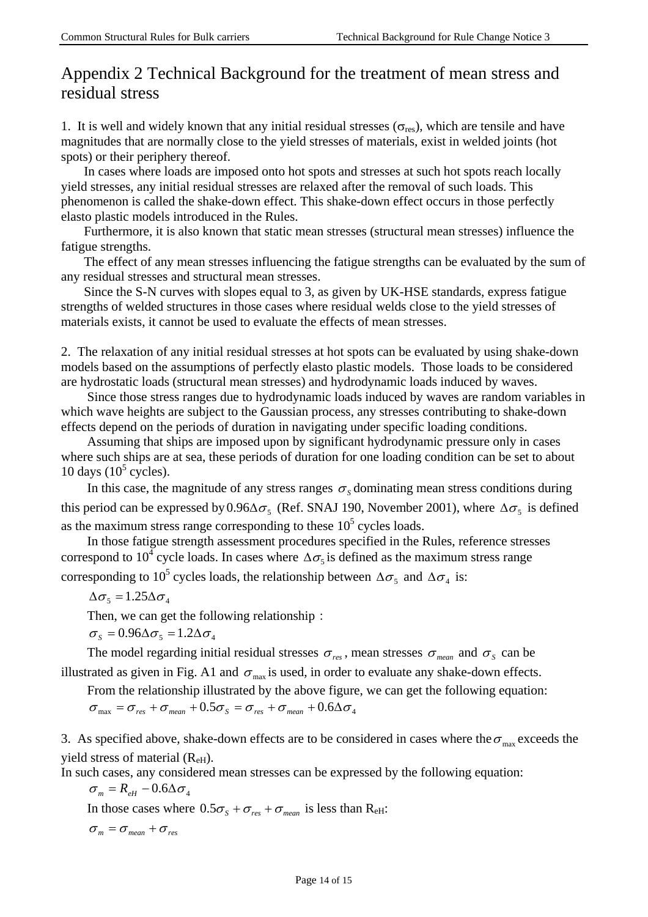## Appendix 2 Technical Background for the treatment of mean stress and residual stress

1. It is well and widely known that any initial residual stresses ( $\sigma_{res}$ ), which are tensile and have magnitudes that are normally close to the yield stresses of materials, exist in welded joints (hot spots) or their periphery thereof.

In cases where loads are imposed onto hot spots and stresses at such hot spots reach locally yield stresses, any initial residual stresses are relaxed after the removal of such loads. This phenomenon is called the shake-down effect. This shake-down effect occurs in those perfectly elasto plastic models introduced in the Rules.

Furthermore, it is also known that static mean stresses (structural mean stresses) influence the fatigue strengths.

The effect of any mean stresses influencing the fatigue strengths can be evaluated by the sum of any residual stresses and structural mean stresses.

Since the S-N curves with slopes equal to 3, as given by UK-HSE standards, express fatigue strengths of welded structures in those cases where residual welds close to the yield stresses of materials exists, it cannot be used to evaluate the effects of mean stresses.

2. The relaxation of any initial residual stresses at hot spots can be evaluated by using shake-down models based on the assumptions of perfectly elasto plastic models. Those loads to be considered are hydrostatic loads (structural mean stresses) and hydrodynamic loads induced by waves.

Since those stress ranges due to hydrodynamic loads induced by waves are random variables in which wave heights are subject to the Gaussian process, any stresses contributing to shake-down effects depend on the periods of duration in navigating under specific loading conditions.

Assuming that ships are imposed upon by significant hydrodynamic pressure only in cases where such ships are at sea, these periods of duration for one loading condition can be set to about 10 days  $(10^5 \text{ cycles})$ .

In this case, the magnitude of any stress ranges  $\sigma_s$  dominating mean stress conditions during this period can be expressed by 0.96 $\Delta \sigma_{\zeta}$  (Ref. SNAJ 190, November 2001), where  $\Delta \sigma_{\zeta}$  is defined as the maximum stress range corresponding to these  $10<sup>5</sup>$  cycles loads.

In those fatigue strength assessment procedures specified in the Rules, reference stresses correspond to 10<sup>4</sup> cycle loads. In cases where  $\Delta \sigma_5$  is defined as the maximum stress range corresponding to 10<sup>5</sup> cycles loads, the relationship between  $\Delta \sigma_5$  and  $\Delta \sigma_4$  is:

$$
\Delta \sigma_{5} = 1.25 \Delta \sigma_{4}
$$

Then, we can get the following relationship:

$$
\sigma_{s} = 0.96\Delta\sigma_{s} = 1.2\Delta\sigma_{4}
$$

The model regarding initial residual stresses  $\sigma_{res}$ , mean stresses  $\sigma_{mean}$  and  $\sigma_{s}$  can be illustrated as given in Fig. A1 and  $\sigma_{\text{max}}$  is used, in order to evaluate any shake-down effects.

From the relationship illustrated by the above figure, we can get the following equation:  $\sigma_{\text{max}} = \sigma_{\text{res}} + \sigma_{\text{mean}} + 0.5\sigma_{\text{S}} = \sigma_{\text{res}} + \sigma_{\text{mean}} + 0.6\Delta\sigma_{\text{4}}$ 

3. As specified above, shake-down effects are to be considered in cases where the  $\sigma_{\text{max}}$  exceeds the yield stress of material  $(R<sub>eff</sub>)$ .

In such cases, any considered mean stresses can be expressed by the following equation:

 $\sigma_m = R_{eH} - 0.6\Delta\sigma_4$ 

In those cases where  $0.5\sigma_s + \sigma_{res} + \sigma_{mean}$  is less than R<sub>eH</sub>:

 $\sigma_m = \sigma_{mean} + \sigma_{res}$